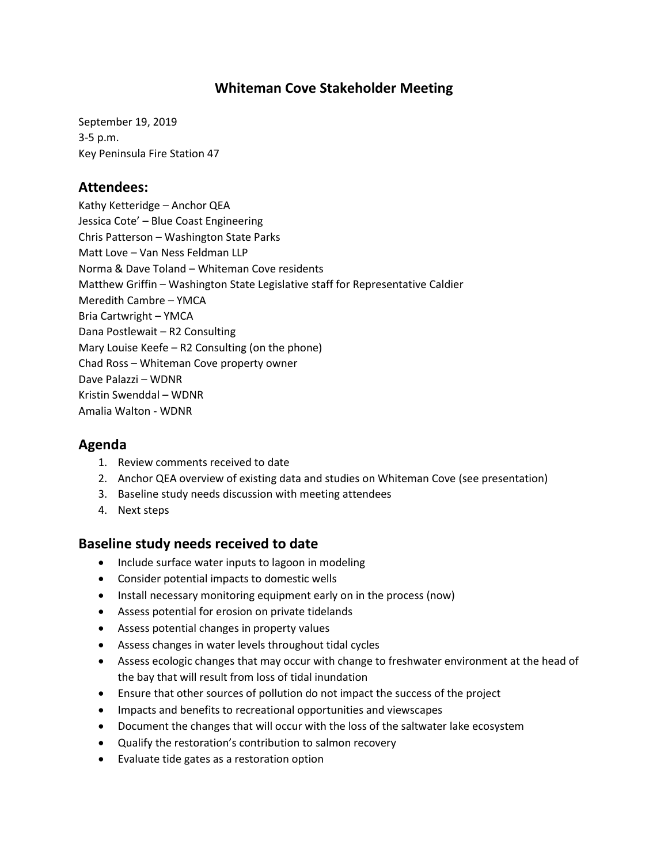# **Whiteman Cove Stakeholder Meeting**

September 19, 2019 3-5 p.m. Key Peninsula Fire Station 47

#### **Attendees:**

Kathy Ketteridge – Anchor QEA Jessica Cote' – Blue Coast Engineering Chris Patterson – Washington State Parks Matt Love – Van Ness Feldman LLP Norma & Dave Toland – Whiteman Cove residents Matthew Griffin – Washington State Legislative staff for Representative Caldier Meredith Cambre – YMCA Bria Cartwright – YMCA Dana Postlewait – R2 Consulting Mary Louise Keefe – R2 Consulting (on the phone) Chad Ross – Whiteman Cove property owner Dave Palazzi – WDNR Kristin Swenddal – WDNR Amalia Walton - WDNR

# **Agenda**

- 1. Review comments received to date
- 2. Anchor QEA overview of existing data and studies on Whiteman Cove (see presentation)
- 3. Baseline study needs discussion with meeting attendees
- 4. Next steps

# **Baseline study needs received to date**

- Include surface water inputs to lagoon in modeling
- Consider potential impacts to domestic wells
- Install necessary monitoring equipment early on in the process (now)
- Assess potential for erosion on private tidelands
- Assess potential changes in property values
- Assess changes in water levels throughout tidal cycles
- Assess ecologic changes that may occur with change to freshwater environment at the head of the bay that will result from loss of tidal inundation
- Ensure that other sources of pollution do not impact the success of the project
- Impacts and benefits to recreational opportunities and viewscapes
- Document the changes that will occur with the loss of the saltwater lake ecosystem
- Qualify the restoration's contribution to salmon recovery
- Evaluate tide gates as a restoration option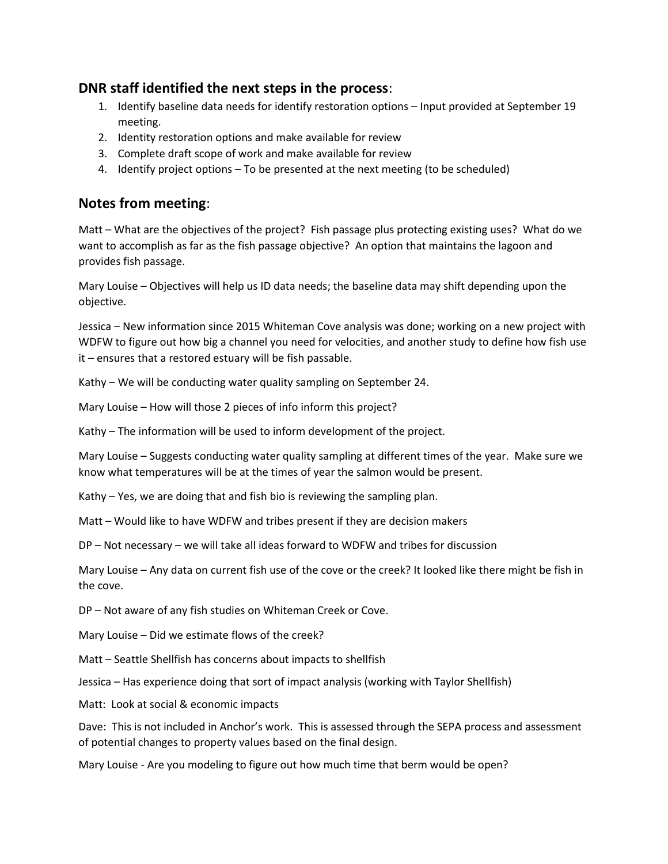# **DNR staff identified the next steps in the process**:

- 1. Identify baseline data needs for identify restoration options Input provided at September 19 meeting.
- 2. Identity restoration options and make available for review
- 3. Complete draft scope of work and make available for review
- 4. Identify project options To be presented at the next meeting (to be scheduled)

# **Notes from meeting**:

Matt – What are the objectives of the project? Fish passage plus protecting existing uses? What do we want to accomplish as far as the fish passage objective? An option that maintains the lagoon and provides fish passage.

Mary Louise – Objectives will help us ID data needs; the baseline data may shift depending upon the objective.

Jessica – New information since 2015 Whiteman Cove analysis was done; working on a new project with WDFW to figure out how big a channel you need for velocities, and another study to define how fish use it – ensures that a restored estuary will be fish passable.

Kathy – We will be conducting water quality sampling on September 24.

Mary Louise – How will those 2 pieces of info inform this project?

Kathy – The information will be used to inform development of the project.

Mary Louise – Suggests conducting water quality sampling at different times of the year. Make sure we know what temperatures will be at the times of year the salmon would be present.

Kathy – Yes, we are doing that and fish bio is reviewing the sampling plan.

Matt – Would like to have WDFW and tribes present if they are decision makers

DP – Not necessary – we will take all ideas forward to WDFW and tribes for discussion

Mary Louise – Any data on current fish use of the cove or the creek? It looked like there might be fish in the cove.

DP – Not aware of any fish studies on Whiteman Creek or Cove.

Mary Louise – Did we estimate flows of the creek?

Matt – Seattle Shellfish has concerns about impacts to shellfish

Jessica – Has experience doing that sort of impact analysis (working with Taylor Shellfish)

Matt: Look at social & economic impacts

Dave: This is not included in Anchor's work. This is assessed through the SEPA process and assessment of potential changes to property values based on the final design.

Mary Louise - Are you modeling to figure out how much time that berm would be open?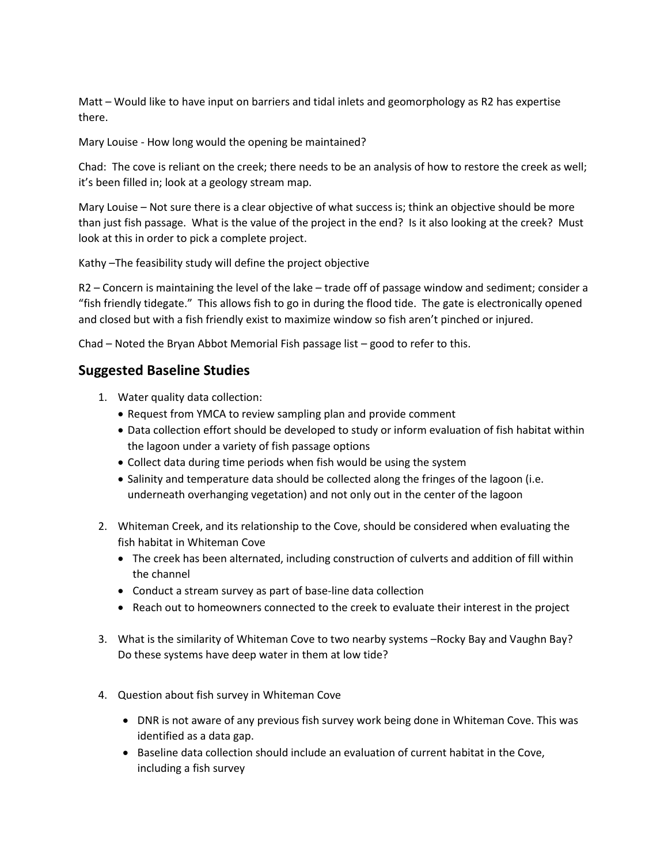Matt – Would like to have input on barriers and tidal inlets and geomorphology as R2 has expertise there.

Mary Louise - How long would the opening be maintained?

Chad: The cove is reliant on the creek; there needs to be an analysis of how to restore the creek as well; it's been filled in; look at a geology stream map.

Mary Louise – Not sure there is a clear objective of what success is; think an objective should be more than just fish passage. What is the value of the project in the end? Is it also looking at the creek? Must look at this in order to pick a complete project.

Kathy –The feasibility study will define the project objective

R2 – Concern is maintaining the level of the lake – trade off of passage window and sediment; consider a "fish friendly tidegate." This allows fish to go in during the flood tide. The gate is electronically opened and closed but with a fish friendly exist to maximize window so fish aren't pinched or injured.

Chad – Noted the Bryan Abbot Memorial Fish passage list – good to refer to this.

#### **Suggested Baseline Studies**

- 1. Water quality data collection:
	- Request from YMCA to review sampling plan and provide comment
	- Data collection effort should be developed to study or inform evaluation of fish habitat within the lagoon under a variety of fish passage options
	- Collect data during time periods when fish would be using the system
	- Salinity and temperature data should be collected along the fringes of the lagoon (i.e. underneath overhanging vegetation) and not only out in the center of the lagoon
- 2. Whiteman Creek, and its relationship to the Cove, should be considered when evaluating the fish habitat in Whiteman Cove
	- The creek has been alternated, including construction of culverts and addition of fill within the channel
	- Conduct a stream survey as part of base-line data collection
	- Reach out to homeowners connected to the creek to evaluate their interest in the project
- 3. What is the similarity of Whiteman Cove to two nearby systems –Rocky Bay and Vaughn Bay? Do these systems have deep water in them at low tide?
- 4. Question about fish survey in Whiteman Cove
	- DNR is not aware of any previous fish survey work being done in Whiteman Cove. This was identified as a data gap.
	- **Baseline data collection should include an evaluation of current habitat in the Cove,** including a fish survey